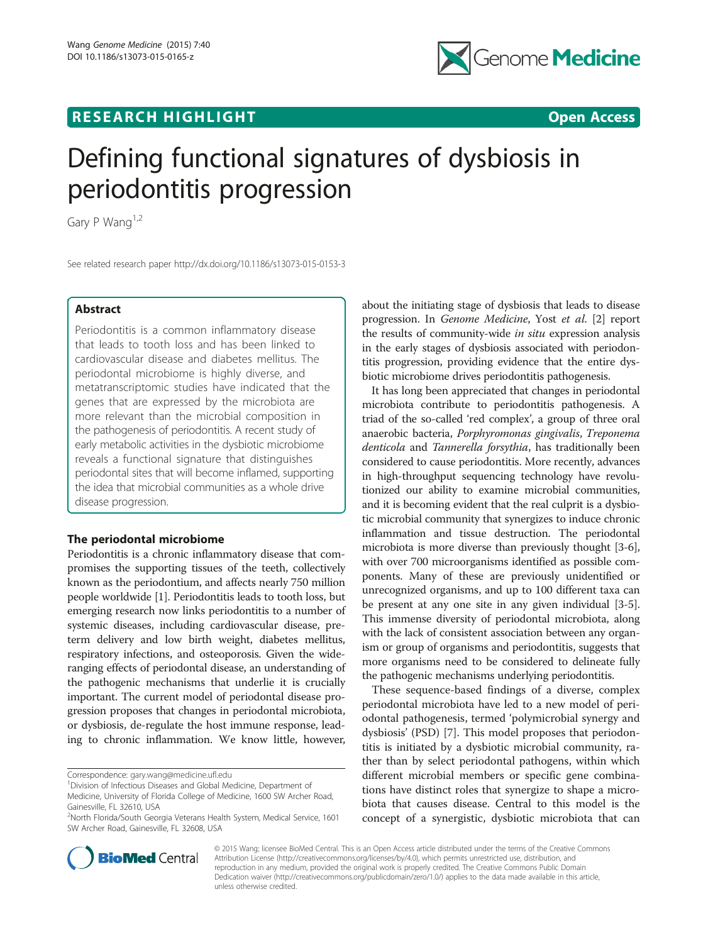# **RESEARCH HIGHLIGHT CONSUMING THE OPEN ACCESS**



# Defining functional signatures of dysbiosis in periodontitis progression

Gary P Wang<sup>1,2</sup>

See related research paper<http://dx.doi.org/10.1186/s13073-015-0153-3>

# Abstract

Periodontitis is a common inflammatory disease that leads to tooth loss and has been linked to cardiovascular disease and diabetes mellitus. The periodontal microbiome is highly diverse, and metatranscriptomic studies have indicated that the genes that are expressed by the microbiota are more relevant than the microbial composition in the pathogenesis of periodontitis. A recent study of early metabolic activities in the dysbiotic microbiome reveals a functional signature that distinguishes periodontal sites that will become inflamed, supporting the idea that microbial communities as a whole drive disease progression.

# The periodontal microbiome

Periodontitis is a chronic inflammatory disease that compromises the supporting tissues of the teeth, collectively known as the periodontium, and affects nearly 750 million people worldwide [\[1](#page-2-0)]. Periodontitis leads to tooth loss, but emerging research now links periodontitis to a number of systemic diseases, including cardiovascular disease, preterm delivery and low birth weight, diabetes mellitus, respiratory infections, and osteoporosis. Given the wideranging effects of periodontal disease, an understanding of the pathogenic mechanisms that underlie it is crucially important. The current model of periodontal disease progression proposes that changes in periodontal microbiota, or dysbiosis, de-regulate the host immune response, leading to chronic inflammation. We know little, however,



It has long been appreciated that changes in periodontal microbiota contribute to periodontitis pathogenesis. A triad of the so-called 'red complex', a group of three oral anaerobic bacteria, Porphyromonas gingivalis, Treponema denticola and Tannerella forsythia, has traditionally been considered to cause periodontitis. More recently, advances in high-throughput sequencing technology have revolutionized our ability to examine microbial communities, and it is becoming evident that the real culprit is a dysbiotic microbial community that synergizes to induce chronic inflammation and tissue destruction. The periodontal microbiota is more diverse than previously thought [\[3](#page-2-0)-[6](#page-2-0)], with over 700 microorganisms identified as possible components. Many of these are previously unidentified or unrecognized organisms, and up to 100 different taxa can be present at any one site in any given individual [\[3](#page-2-0)-[5](#page-2-0)]. This immense diversity of periodontal microbiota, along with the lack of consistent association between any organism or group of organisms and periodontitis, suggests that more organisms need to be considered to delineate fully the pathogenic mechanisms underlying periodontitis.

These sequence-based findings of a diverse, complex periodontal microbiota have led to a new model of periodontal pathogenesis, termed 'polymicrobial synergy and dysbiosis' (PSD) [\[7](#page-2-0)]. This model proposes that periodontitis is initiated by a dysbiotic microbial community, rather than by select periodontal pathogens, within which different microbial members or specific gene combinations have distinct roles that synergize to shape a microbiota that causes disease. Central to this model is the concept of a synergistic, dysbiotic microbiota that can



© 2015 Wang; licensee BioMed Central. This is an Open Access article distributed under the terms of the Creative Commons Attribution License (<http://creativecommons.org/licenses/by/4.0>), which permits unrestricted use, distribution, and reproduction in any medium, provided the original work is properly credited. The Creative Commons Public Domain Dedication waiver [\(http://creativecommons.org/publicdomain/zero/1.0/](http://creativecommons.org/publicdomain/zero/1.0/)) applies to the data made available in this article, unless otherwise credited.

Correspondence: [gary.wang@medicine.ufl.edu](mailto:gary.wang@medicine.ufl.edu) <sup>1</sup>

<sup>&</sup>lt;sup>1</sup> Division of Infectious Diseases and Global Medicine, Department of Medicine, University of Florida College of Medicine, 1600 SW Archer Road, Gainesville, FL 32610, USA

<sup>2</sup> North Florida/South Georgia Veterans Health System, Medical Service, 1601 SW Archer Road, Gainesville, FL 32608, USA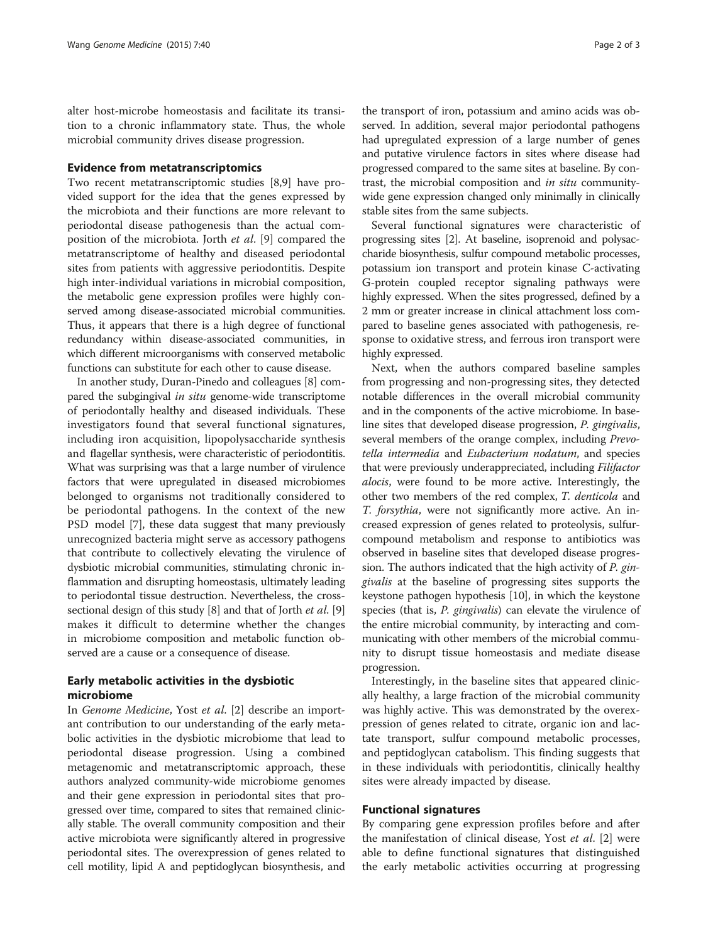alter host-microbe homeostasis and facilitate its transition to a chronic inflammatory state. Thus, the whole microbial community drives disease progression.

### Evidence from metatranscriptomics

Two recent metatranscriptomic studies [\[8,9](#page-2-0)] have provided support for the idea that the genes expressed by the microbiota and their functions are more relevant to periodontal disease pathogenesis than the actual composition of the microbiota. Jorth et al. [\[9\]](#page-2-0) compared the metatranscriptome of healthy and diseased periodontal sites from patients with aggressive periodontitis. Despite high inter-individual variations in microbial composition, the metabolic gene expression profiles were highly conserved among disease-associated microbial communities. Thus, it appears that there is a high degree of functional redundancy within disease-associated communities, in which different microorganisms with conserved metabolic functions can substitute for each other to cause disease.

In another study, Duran-Pinedo and colleagues [[8\]](#page-2-0) compared the subgingival in situ genome-wide transcriptome of periodontally healthy and diseased individuals. These investigators found that several functional signatures, including iron acquisition, lipopolysaccharide synthesis and flagellar synthesis, were characteristic of periodontitis. What was surprising was that a large number of virulence factors that were upregulated in diseased microbiomes belonged to organisms not traditionally considered to be periodontal pathogens. In the context of the new PSD model [[7\]](#page-2-0), these data suggest that many previously unrecognized bacteria might serve as accessory pathogens that contribute to collectively elevating the virulence of dysbiotic microbial communities, stimulating chronic inflammation and disrupting homeostasis, ultimately leading to periodontal tissue destruction. Nevertheless, the cross-sectional design of this study [[8](#page-2-0)] and that of Jorth *et al.* [[9](#page-2-0)] makes it difficult to determine whether the changes in microbiome composition and metabolic function observed are a cause or a consequence of disease.

# Early metabolic activities in the dysbiotic microbiome

In Genome Medicine, Yost et al. [\[2](#page-2-0)] describe an important contribution to our understanding of the early metabolic activities in the dysbiotic microbiome that lead to periodontal disease progression. Using a combined metagenomic and metatranscriptomic approach, these authors analyzed community-wide microbiome genomes and their gene expression in periodontal sites that progressed over time, compared to sites that remained clinically stable. The overall community composition and their active microbiota were significantly altered in progressive periodontal sites. The overexpression of genes related to cell motility, lipid A and peptidoglycan biosynthesis, and

the transport of iron, potassium and amino acids was observed. In addition, several major periodontal pathogens had upregulated expression of a large number of genes and putative virulence factors in sites where disease had progressed compared to the same sites at baseline. By contrast, the microbial composition and in situ communitywide gene expression changed only minimally in clinically stable sites from the same subjects.

Several functional signatures were characteristic of progressing sites [[2](#page-2-0)]. At baseline, isoprenoid and polysaccharide biosynthesis, sulfur compound metabolic processes, potassium ion transport and protein kinase C-activating G-protein coupled receptor signaling pathways were highly expressed. When the sites progressed, defined by a 2 mm or greater increase in clinical attachment loss compared to baseline genes associated with pathogenesis, response to oxidative stress, and ferrous iron transport were highly expressed.

Next, when the authors compared baseline samples from progressing and non-progressing sites, they detected notable differences in the overall microbial community and in the components of the active microbiome. In baseline sites that developed disease progression, P. gingivalis, several members of the orange complex, including Prevotella intermedia and Eubacterium nodatum, and species that were previously underappreciated, including Filifactor alocis, were found to be more active. Interestingly, the other two members of the red complex, T. denticola and T. forsythia, were not significantly more active. An increased expression of genes related to proteolysis, sulfurcompound metabolism and response to antibiotics was observed in baseline sites that developed disease progression. The authors indicated that the high activity of P. gingivalis at the baseline of progressing sites supports the keystone pathogen hypothesis [[10](#page-2-0)], in which the keystone species (that is, P. gingivalis) can elevate the virulence of the entire microbial community, by interacting and communicating with other members of the microbial community to disrupt tissue homeostasis and mediate disease progression.

Interestingly, in the baseline sites that appeared clinically healthy, a large fraction of the microbial community was highly active. This was demonstrated by the overexpression of genes related to citrate, organic ion and lactate transport, sulfur compound metabolic processes, and peptidoglycan catabolism. This finding suggests that in these individuals with periodontitis, clinically healthy sites were already impacted by disease.

## Functional signatures

By comparing gene expression profiles before and after the manifestation of clinical disease, Yost et al. [[2\]](#page-2-0) were able to define functional signatures that distinguished the early metabolic activities occurring at progressing